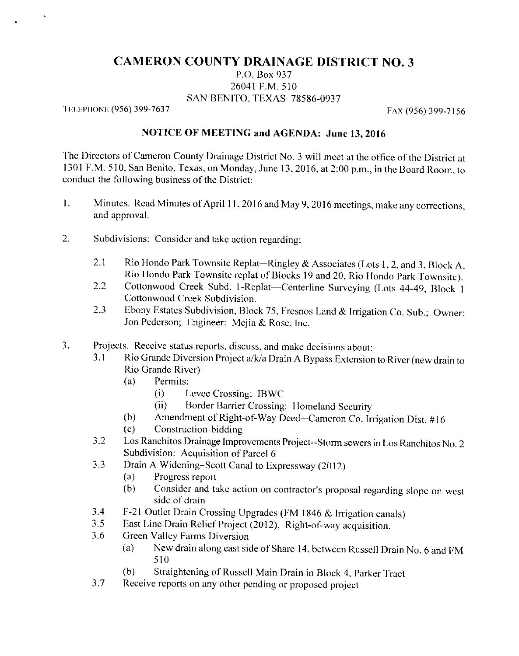## **CAMERON COUNTY DRAINAGE DISTRICT NO. 3**

P.O. Box 937 26041 F.M. 510 SAN BENITO, TEXAS 78586-0937

TELEPHONE (956) 399-7637

FAX (956) 399-7156

## NOTICE OF MEETING and AGENDA: June 13, 2016

The Directors of Cameron County Drainage District No. 3 will meet at the office of the District at 1301 F.M. 510, San Benito, Texas, on Monday, June 13, 2016, at 2:00 p.m., in the Board Room, to conduct the following business of the District:

- Minutes. Read Minutes of April 11, 2016 and May 9, 2016 meetings, make any corrections,  $\mathbf{1}$ . and approval.
- $\overline{2}$ . Subdivisions: Consider and take action regarding:
	- $2.1$ Rio Hondo Park Townsite Replat-Ringley & Associates (Lots 1, 2, and 3, Block A, Rio Hondo Park Townsite replat of Blocks 19 and 20, Rio Hondo Park Townsite).
	- Cottonwood Creek Subd. 1-Replat---Centerline Surveying (Lots 44-49, Block 1 2.2 Cottonwood Creek Subdivision.
	- Ebony Estates Subdivision, Block 75, Fresnos Land & Irrigation Co. Sub.; Owner: 2.3 Jon Pederson; Engineer: Mejia & Rose, Inc.
- 3. Projects. Receive status reports, discuss, and make decisions about:
	- Rio Grande Diversion Project a/k/a Drain A Bypass Extension to River (new drain to  $3<sub>1</sub>$ Rio Grande River)
		- Permits:  $(a)$ 
			- $(i)$ Levee Crossing: IBWC
			- $(ii)$ Border Barrier Crossing: Homeland Security
		- Amendment of Right-of-Way Deed-Cameron Co. Irrigation Dist. #16  $(b)$
		- Construction-bidding  $(c)$
	- Los Ranchitos Drainage Improvements Project--Storm sewers in Los Ranchitos No. 2  $3.2$ Subdivision: Acquisition of Parcel 6
	- Drain A Widening-Scott Canal to Expressway (2012)  $3.3$ 
		- Progress report  $(a)$
		- Consider and take action on contractor's proposal regarding slope on west  $(b)$ side of drain
	- F-21 Outlet Drain Crossing Upgrades (FM 1846 & Irrigation canals)  $3.4$
	- East Line Drain Relief Project (2012). Right-of-way acquisition.  $3.5$
	- 3.6 Green Valley Farms Diversion
		- New drain along east side of Share 14, between Russell Drain No. 6 and FM  $(a)$ 510
		- Straightening of Russell Main Drain in Block 4, Parker Tract  $(b)$
	- $3.7$ Receive reports on any other pending or proposed project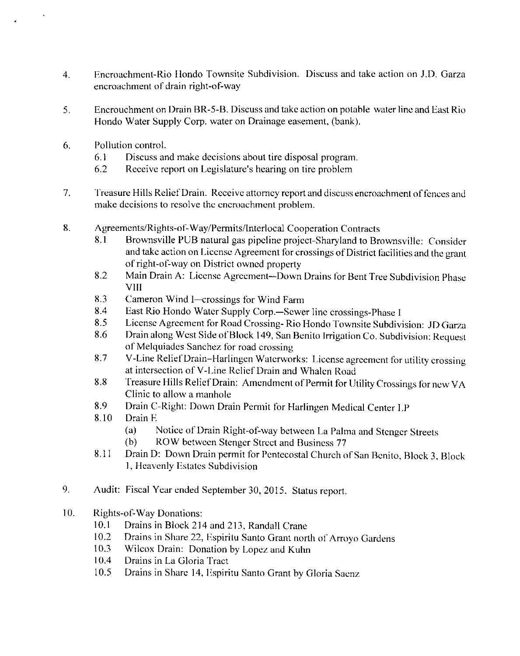- $\overline{4}$ . Encroachment-Rio Hondo Townsite Subdivision. Discuss and take action on J.D. Garza encroachment of drain right-of-way
- 5. Encrouchment on Drain BR-5-B, Discuss and take action on potable water line and East Rio Hondo Water Supply Corp. water on Drainage easement, (bank).
- Pollution control. 6.
	- Discuss and make decisions about tire disposal program.  $6.1$
	- 6.2 Receive report on Legislature's hearing on tire problem
- $7<sub>1</sub>$ Treasure Hills Relief Drain. Receive attorney report and discuss encroachment of fences and make decisions to resolve the encroachment problem.
- 8. Agreements/Rights-of-Way/Permits/Interlocal Cooperation Contracts
	- Brownsville PUB natural gas pipeline project-Sharyland to Brownsville: Consider 8.1 and take action on License Agreement for crossings of District facilities and the grant of right-of-way on District owned property
	- Main Drain A: License Agreement-Down Drains for Bent Tree Subdivision Phase 8.2 **VIII**
	- 8.3 Cameron Wind I-crossings for Wind Farm
	- 8.4 East Rio Hondo Water Supply Corp.-Sewer line crossings-Phase I
	- License Agreement for Road Crossing-Rio Hondo Townsite Subdivision: JD Garza 8.5
	- Drain along West Side of Block 149, San Benito Irrigation Co. Subdivision: Request 8.6 of Melquiades Sanchez for road crossing
	- V-Line Relief Drain-Harlingen Waterworks: License agreement for utility crossing 8.7 at intersection of V-Line Relief Drain and Whalen Road
	- Treasure Hills Relief Drain: Amendment of Permit for Utility Crossings for new VA 8.8 Clinic to allow a manhole
	- 8.9 Drain C-Right: Down Drain Permit for Harlingen Medical Center LP
	- 8.10 Drain E
		- Notice of Drain Right-of-way between La Palma and Stenger Streets  $(a)$
		- ROW between Stenger Street and Business 77  $(b)$
	- Drain D: Down Drain permit for Pentecostal Church of San Benito, Block 3, Block 8.11 1, Heavenly Estates Subdivision
- 9. Audit: Fiscal Year ended September 30, 2015. Status report.
- $10.$ **Rights-of-Way Donations:** 
	- $10.1$ Drains in Block 214 and 213, Randall Crane
	- Drains in Share 22, Espiritu Santo Grant north of Arroyo Gardens 10.2
	- Wilcox Drain: Donation by Lopez and Kuhn  $10.3$
	- 10.4 Drains in La Gloria Tract
	- $10.5$ Drains in Share 14, Espiritu Santo Grant by Gloria Saenz